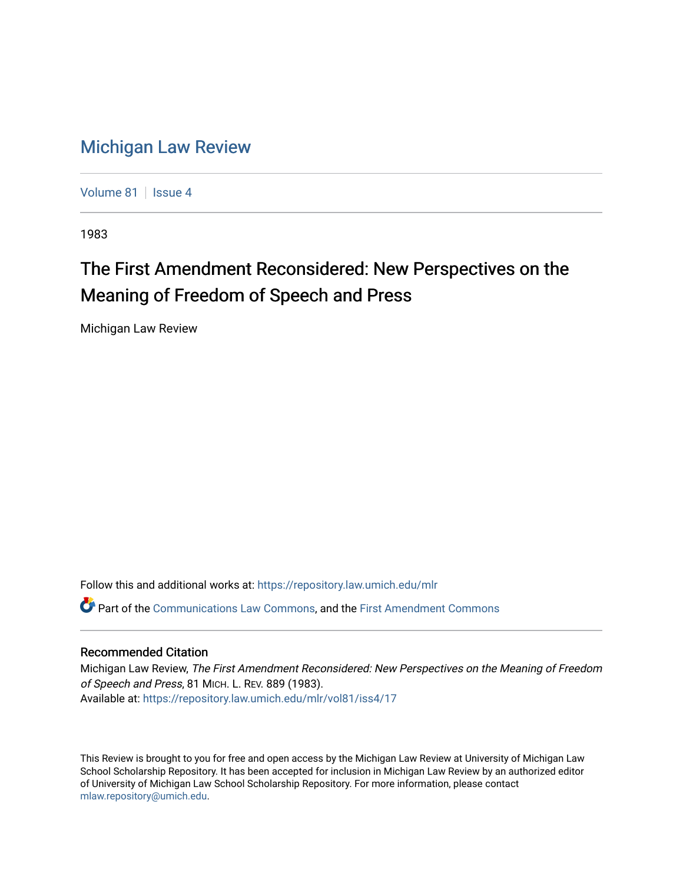## [Michigan Law Review](https://repository.law.umich.edu/mlr)

[Volume 81](https://repository.law.umich.edu/mlr/vol81) | [Issue 4](https://repository.law.umich.edu/mlr/vol81/iss4)

1983

## The First Amendment Reconsidered: New Perspectives on the Meaning of Freedom of Speech and Press

Michigan Law Review

Follow this and additional works at: [https://repository.law.umich.edu/mlr](https://repository.law.umich.edu/mlr?utm_source=repository.law.umich.edu%2Fmlr%2Fvol81%2Fiss4%2F17&utm_medium=PDF&utm_campaign=PDFCoverPages) 

Part of the [Communications Law Commons,](http://network.bepress.com/hgg/discipline/587?utm_source=repository.law.umich.edu%2Fmlr%2Fvol81%2Fiss4%2F17&utm_medium=PDF&utm_campaign=PDFCoverPages) and the [First Amendment Commons](http://network.bepress.com/hgg/discipline/1115?utm_source=repository.law.umich.edu%2Fmlr%2Fvol81%2Fiss4%2F17&utm_medium=PDF&utm_campaign=PDFCoverPages)

## Recommended Citation

Michigan Law Review, The First Amendment Reconsidered: New Perspectives on the Meaning of Freedom of Speech and Press, 81 MICH. L. REV. 889 (1983). Available at: [https://repository.law.umich.edu/mlr/vol81/iss4/17](https://repository.law.umich.edu/mlr/vol81/iss4/17?utm_source=repository.law.umich.edu%2Fmlr%2Fvol81%2Fiss4%2F17&utm_medium=PDF&utm_campaign=PDFCoverPages) 

This Review is brought to you for free and open access by the Michigan Law Review at University of Michigan Law School Scholarship Repository. It has been accepted for inclusion in Michigan Law Review by an authorized editor of University of Michigan Law School Scholarship Repository. For more information, please contact [mlaw.repository@umich.edu.](mailto:mlaw.repository@umich.edu)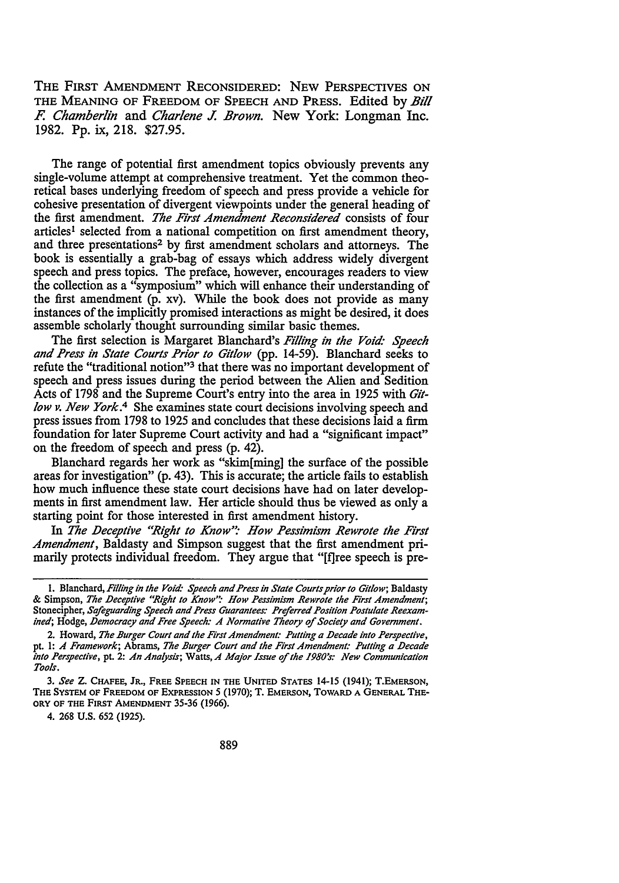THE FIRST AMENDMENT RECONSIDERED: NEW PERSPECTIVES ON THE MEANING OF FREEDOM OF SPEECH AND PRESS. Edited by *Bil! F. Chamberlin* and *Charlene J. Brown.* New York: Longman Inc. 1982. Pp. ix, 218. \$27.95.

The range of potential first amendment topics obviously prevents any single-volume attempt at comprehensive treatment. Yet the common theoretical bases underlying freedom of speech and press provide a vehicle for cohesive presentation of divergent viewpoints under the general heading of the first amendment. *The First Amendment Reconsidered* consists of four articles1 selected from a national competition on first amendment theory, and three presentations<sup>2</sup> by first amendment scholars and attorneys. The book is essentially a grab-bag of essays which address widely divergent speech and press topics. The preface, however, encourages readers to view the collection as a "symposium" which will enhance their understanding of the first amendment (p. xv). While the book does not provide as many instances of the implicitly promised interactions as might be desired, it does assemble scholarly thought surrounding similar basic themes.

The first selection is Margaret Blanchard's *Filling in the Void· Speech and Press in State Courts Prior to Git/ow* (pp. 14-59). Blanchard seeks to refute the "traditional notion"<sup>3</sup> that there was no important development of speech and press issues during the period between the Alien and Sedition Acts of 1798 and the Supreme Court's entry into the area in 1925 with *Gitlow v. New York*.<sup>4</sup> She examines state court decisions involving speech and press issues from 1798 to 1925 and concludes that these decisions laid a firm foundation for later Supreme Court activity and had a "significant impact" on the freedom of speech and press (p. 42).

Blanchard regards her work as "skim[ming] the surface of the possible areas for investigation" (p. 43). This is accurate; the article fails to establish how much influence these state court decisions have had on later developments in first amendment law. Her article should thus be viewed as only a starting point for those interested in first amendment history.

In The Deceptive "Right to Know": How Pessimism Rewrote the First *Amendment,* Baldasty and Simpson suggest that the first amendment primarily protects individual freedom. They argue that "[f]ree speech is pre-

4. 268 U.S. 652 (1925).

l. Blanchard, *Filling in the Void: Speech and Press in State Courts prior to Git/ow;* Baldasty & Simpson, *The Deceptive "Right to Know''.· How Pessimism Rewrote the First Amendment;*  Stonecipher, *Safeguarding Speech and Press Guarantees: Preferred Position Postulate Reexamined;* Hodge, *Democracy and Free Speech: A Normative Theory of Society and Government.* 

<sup>2.</sup> Howard, *The Burger Court and the First Amendment: Pulling a Decade into Perspective,*  pt. I: *A Framework;* Abrams, *The Burger Court and the First Amendment: Pulling a Decade into Perspective,* pt. 2: *An Analysis;* Watts,A *Major Issue of the 1980's: New Communication Tools.* 

<sup>3.</sup> *See* **z.** CHAFEE, JR., FREE SPEECH IN THE UNITED STATES 14-15 (1941); T.EMERSON, THE SYSTEM OF FREEDOM OF EXPRESSION *5* (1970); T. EMERSON, TOWARD A GENERAL THE-ORY OF THE FIRST AMENDMENT 35-36 (1966).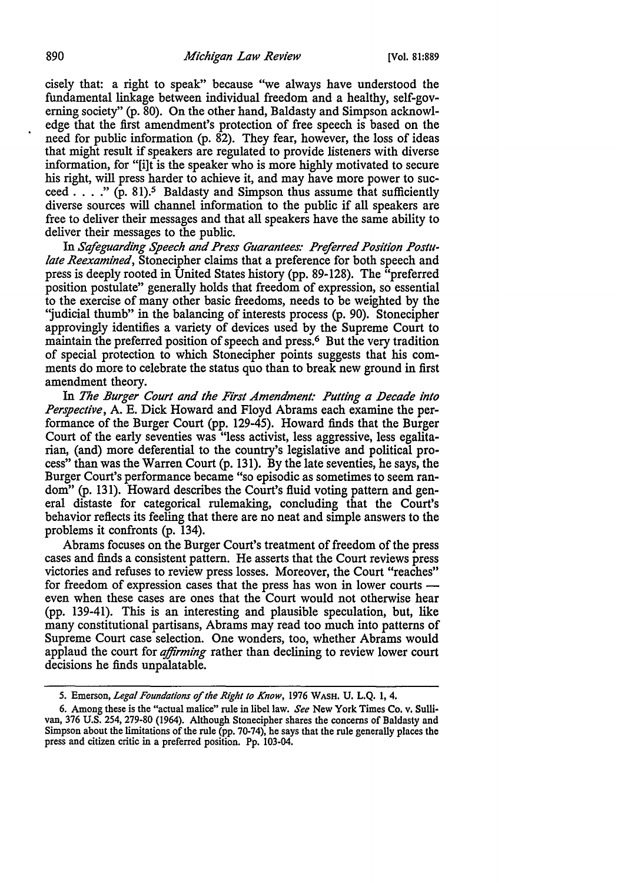cisely that: a right to speak" because "we always have understood the fundamental linkage between individual freedom and a healthy, self-governing society" (p. 80). On the other hand, Baldasty and Simpson acknowledge that the first amendment's protection of free speech is based on the need for public information (p. 82). They fear, however, the loss of ideas that might result if speakers are regulated to provide listeners with diverse information, for "[i]t is the speaker who is more highly motivated to secure his right, will press harder to achieve it, and may have more power to succeed  $\dots$  " (p. 81).<sup>5</sup> Baldasty and Simpson thus assume that sufficiently diverse sources will channel information to the public if all speakers are free to deliver their messages and that all speakers have the same ability to deliver their messages to the public.

In *Sefeguarding Speech and Press Guarantees: Preferred Position Poslll· late Reexamined,* Stonecipher claims that a preference for both speech and press is deeply rooted in United States history (pp. 89-128). The "preferred position postulate" generally holds that freedom of expression, so essential to the exercise of many other basic freedoms, needs to be weighted by the "judicial thumb" in the balancing of interests process (p. 90). Stonecipher approvingly identifies a variety of devices used by the Supreme Court to maintain the preferred position of speech and press.<sup>6</sup> But the very tradition of special protection to which Stonecipher points suggests that his comments do more to celebrate the status quo than to break new ground in first amendment theory.

In *The Burger Court and the First Amendment: Putting a Decade into Perspective,* A. E. Dick Howard and Floyd Abrams each examine the performance of the Burger Court (pp. 129-45). Howard finds that the Burger Court of the early seventies was "less activist, less aggressive, less egalitarian, (and) more deferential to the country's legislative and political process" than was the Warren Court (p. 131 ). By the late seventies, he says, the Burger Court's performance became "so episodic as sometimes to seem random" (p. 131). Howard describes the Court's fluid voting pattern and general distaste for categorical rulemaking, concluding that the Court's behavior reflects its feeling that there are no neat and simple answers to the problems it confronts (p. 134).

Abrams focuses on the Burger Court's treatment of freedom of the press cases and finds a consistent pattern. He asserts that the Court reviews press victories and refuses to review press losses. Moreover, the Court "reaches" for freedom of expression cases that the press has won in lower courts even when these cases are ones that the Court would not otherwise hear (pp. 139-41). This is an interesting and plausible speculation, but, like many constitutional partisans, Abrams may read too much into patterns of Supreme Court case selection. One wonders, too, whether Abrams would applaud the court for *affirming* rather than declining to review lower court decisions he finds unpalatable.

<sup>5.</sup> Emerson, *Legal Foundations of the Right to Know,* 1976 WASH. U. **L.Q.** I, 4.

<sup>6.</sup> Among these is the "actual malice" rule in libel law. *See* New York Times Co, v. Sullivan, 376 U.S. 254, 279-80 (1964). Although Stonecipher shares the concerns of Baldasty and Simpson about the limitations of the rule (pp. 70-74), he says that the rule generally places the press and citizen critic in a preferred position. Pp. 103-04.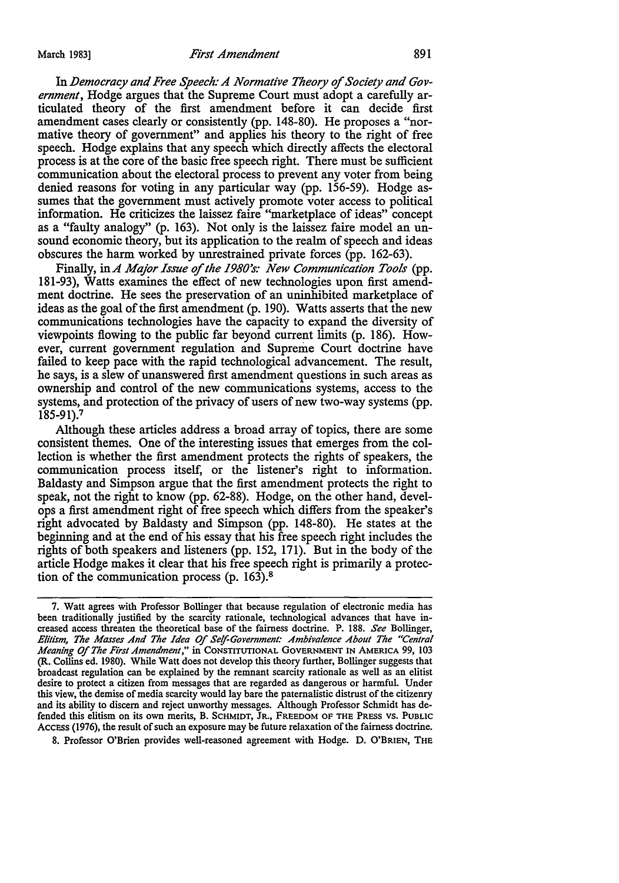In Democracy and Free Speech: A Normative Theory of Society and Gov*ernment,* Hodge argues that the Supreme Court must adopt a carefully articulated theory of the first amendment before it can decide first amendment cases clearly or consistently (pp. 148-80). He proposes a "normative theory of government" and applies his theory to the right of free speech. Hodge explains that any speech which directly affects the electoral process is at the core of the basic free speech right. There must be sufficient communication about the electoral process to prevent any voter from being denied reasons for voting in any particular way (pp. 156-59). Hodge assumes that the government must actively promote voter access to political information. He criticizes the laissez faire "marketplace of ideas" concept as a "faulty analogy" (p. 163). Not only is the laissez faire model an unsound economic theory, but its application to the realm of speech and ideas obscures the harm worked by unrestrained private forces (pp. 162-63).

Finally, inA *Major Issue* of *the 1980's: New Communication Tools* (pp. 181-93), Watts examines the effect of new technologies upon first amendment doctrine. He sees the preservation of an uninhibited marketplace of ideas as the goal of the first amendment (p. 190). Watts asserts that the new communications technologies have the capacity to expand the diversity of viewpoints flowing to the public far beyond current limits (p. 186). However, current government regulation and Supreme Court doctrine have failed to keep pace with the rapid technological advancement. The result, he says, is a slew of unanswered first amendment questions in such areas as ownership and control of the new communications systems, access to the systems, and protection of the privacy of users of new two-way systems (pp. 185-91).<sup>7</sup>

Although these articles address a broad array of topics, there are some consistent themes. One of the interesting issues that emerges from the collection is whether the first amendment protects the rights of speakers, the communication process itself, or the listener's right to information. Baldasty and Simpson argue that the first amendment protects the right to speak, not the right to know (pp. 62-88). Hodge, on the other hand, develops a first amendment right of free speech which differs from the speaker's right advocated by Baldasty and Simpson (pp. 148-80). He states at the beginning and at the end of his essay that his free speech right includes the rights of both speakers and listeners (pp. 152, 171). But in the body of the article Hodge makes it clear that his free speech right is primarily a protection of the communication process (p. 163).<sup>8</sup>

7. Watt agrees with Professor Bollinger that because regulation of electronic media has been traditionally justified by the scarcity rationale, technological advances that have increased access threaten the theoretical base of the fairness doctrine. P. 188. *See* Bollinger, *Elitism, The Masses And The Idea Of Seif-Government: Ambivalence About The "Central Meaning Of The First Amendment,"* in CONSTITUTIONAL GOVERNMENT IN AMERICA 99, 103 (R. Collins ed. 1980). While Watt does not develop this theory further, Bollinger suggests that broadcast regulation can be explained by the remnant scarcity rationale as well as an elitist desire to protect a citizen from messages that are regarded as dangerous or harmful. Under this view, the demise of media scarcity would lay bare the paternalistic distrust of the citizenry and its ability to discern and reject unworthy messages. Although Professor Schmidt has defended this elitism on its own merits, B. SCHMIDT, JR., FREEDOM OF THE PRESS vs. PUBLIC ACCESS (1976), the result of such an exposure may be future relaxation of the fairness doctrine.

8. Professor O'Brien provides well-reasoned agreement with Hodge. D. O'BRIEN, THE